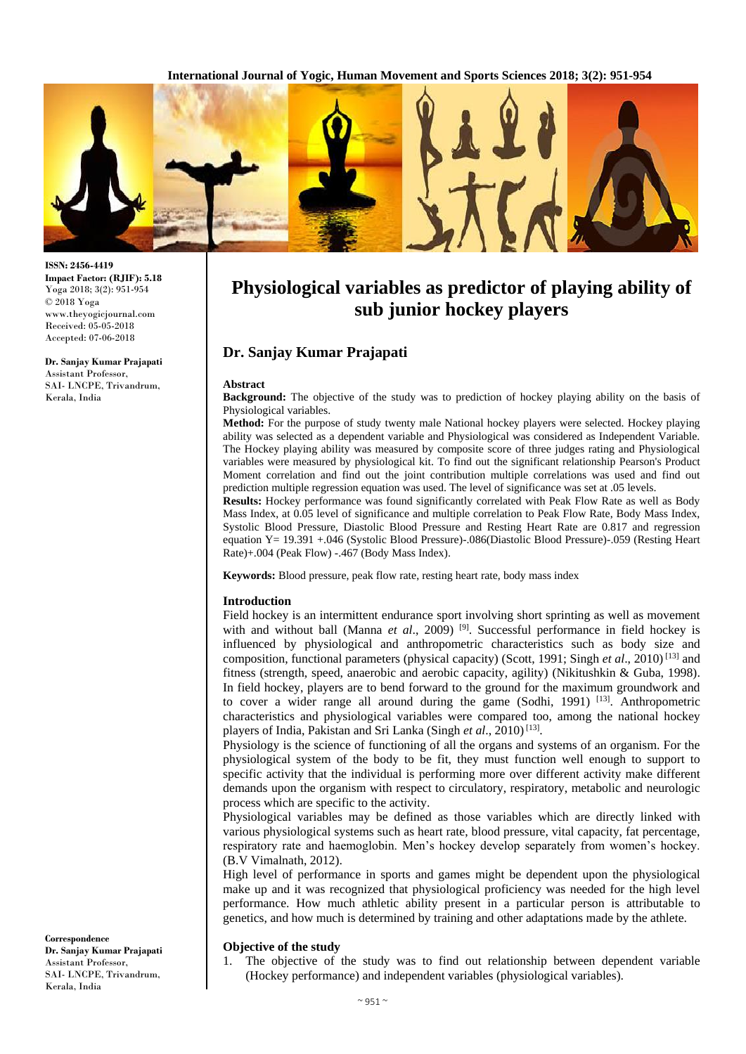**International Journal of Yogic, Human Movement and Sports Sciences 2018; 3(2): 951-954**



**ISSN: 2456-4419 Impact Factor: (RJIF): 5.18** Yoga 2018; 3(2): 951-954 © 2018 Yoga www.theyogicjournal.com Received: 05-05-2018 Accepted: 07-06-2018

**Dr. Sanjay Kumar Prajapati** Assistant Professor, SAI- LNCPE, Trivandrum, Kerala, India

**Physiological variables as predictor of playing ability of sub junior hockey players**

# **Dr. Sanjay Kumar Prajapati**

#### **Abstract**

**Background:** The objective of the study was to prediction of hockey playing ability on the basis of Physiological variables.

**Method:** For the purpose of study twenty male National hockey players were selected. Hockey playing ability was selected as a dependent variable and Physiological was considered as Independent Variable. The Hockey playing ability was measured by composite score of three judges rating and Physiological variables were measured by physiological kit. To find out the significant relationship Pearson's Product Moment correlation and find out the joint contribution multiple correlations was used and find out prediction multiple regression equation was used. The level of significance was set at .05 levels.

**Results:** Hockey performance was found significantly correlated with Peak Flow Rate as well as Body Mass Index, at 0.05 level of significance and multiple correlation to Peak Flow Rate, Body Mass Index, Systolic Blood Pressure, Diastolic Blood Pressure and Resting Heart Rate are 0.817 and regression equation Y= 19.391 +.046 (Systolic Blood Pressure)-.086(Diastolic Blood Pressure)-.059 (Resting Heart Rate)+.004 (Peak Flow) -.467 (Body Mass Index).

**Keywords:** Blood pressure, peak flow rate, resting heart rate, body mass index

### **Introduction**

Field hockey is an intermittent endurance sport involving short sprinting as well as movement with and without ball (Manna *et al.*, 2009)<sup>[9]</sup>. Successful performance in field hockey is influenced by physiological and anthropometric characteristics such as body size and composition, functional parameters (physical capacity) (Scott, 1991; Singh *et al*., 2010) [13] and fitness (strength, speed, anaerobic and aerobic capacity, agility) (Nikitushkin & Guba, 1998). In field hockey, players are to bend forward to the ground for the maximum groundwork and to cover a wider range all around during the game (Sodhi, 1991)  $^{[13]}$ . Anthropometric characteristics and physiological variables were compared too, among the national hockey players of India, Pakistan and Sri Lanka (Singh et al., 2010)<sup>[13]</sup>.

Physiology is the science of functioning of all the organs and systems of an organism. For the physiological system of the body to be fit, they must function well enough to support to specific activity that the individual is performing more over different activity make different demands upon the organism with respect to circulatory, respiratory, metabolic and neurologic process which are specific to the activity.

Physiological variables may be defined as those variables which are directly linked with various physiological systems such as heart rate, blood pressure, vital capacity, fat percentage, respiratory rate and haemoglobin. Men's hockey develop separately from women's hockey. (B.V Vimalnath, 2012).

High level of performance in sports and games might be dependent upon the physiological make up and it was recognized that physiological proficiency was needed for the high level performance. How much athletic ability present in a particular person is attributable to genetics, and how much is determined by training and other adaptations made by the athlete.

## **Objective of the study**

1. The objective of the study was to find out relationship between dependent variable (Hockey performance) and independent variables (physiological variables).

**Correspondence Dr. Sanjay Kumar Prajapati** Assistant Professor, SAI- LNCPE, Trivandrum, Kerala, India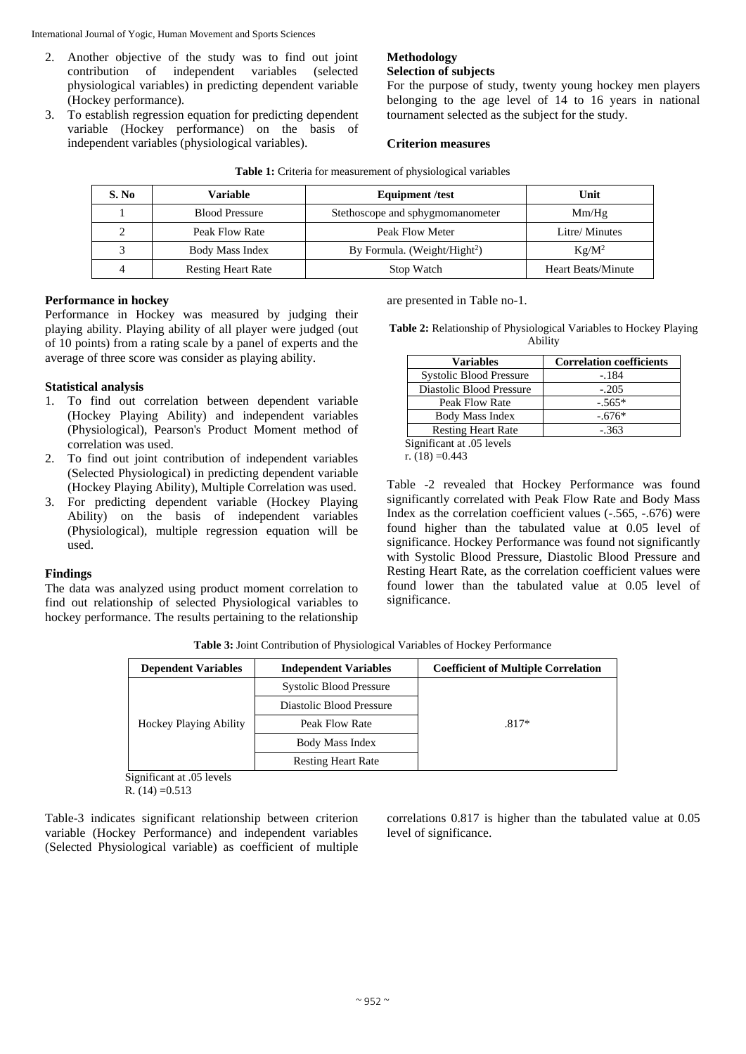International Journal of Yogic, Human Movement and Sports Sciences

- 2. Another objective of the study was to find out joint contribution of independent variables (selected physiological variables) in predicting dependent variable (Hockey performance).
- 3. To establish regression equation for predicting dependent variable (Hockey performance) on the basis of independent variables (physiological variables).

## **Methodology Selection of subjects**

For the purpose of study, twenty young hockey men players belonging to the age level of 14 to 16 years in national tournament selected as the subject for the study.

## **Criterion measures**

| Table 1: Criteria for measurement of physiological variables |  |  |  |
|--------------------------------------------------------------|--|--|--|
|--------------------------------------------------------------|--|--|--|

| S. No | Variable                  | <b>Equipment</b> /test                   | Unit                      |
|-------|---------------------------|------------------------------------------|---------------------------|
|       | <b>Blood Pressure</b>     | Stethoscope and sphygmomanometer         | Mm/Hg                     |
|       | Peak Flow Rate            | Peak Flow Meter                          | Litre/Minutes             |
|       | Body Mass Index           | By Formula. (Weight/Hight <sup>2</sup> ) | $Kg/M^2$                  |
|       | <b>Resting Heart Rate</b> | Stop Watch                               | <b>Heart Beats/Minute</b> |

## **Performance in hockey**

Performance in Hockey was measured by judging their playing ability. Playing ability of all player were judged (out of 10 points) from a rating scale by a panel of experts and the average of three score was consider as playing ability.

## **Statistical analysis**

- 1. To find out correlation between dependent variable (Hockey Playing Ability) and independent variables (Physiological), Pearson's Product Moment method of correlation was used.
- 2. To find out joint contribution of independent variables (Selected Physiological) in predicting dependent variable (Hockey Playing Ability), Multiple Correlation was used.
- 3. For predicting dependent variable (Hockey Playing Ability) on the basis of independent variables (Physiological), multiple regression equation will be used.

## **Findings**

The data was analyzed using product moment correlation to find out relationship of selected Physiological variables to hockey performance. The results pertaining to the relationship

are presented in Table no-1.

**Table 2:** Relationship of Physiological Variables to Hockey Playing Ability

| Variables                      | <b>Correlation coefficients</b> |
|--------------------------------|---------------------------------|
| <b>Systolic Blood Pressure</b> | $-.184$                         |
| Diastolic Blood Pressure       | $-.205$                         |
| Peak Flow Rate                 | $-.565*$                        |
| Body Mass Index                | $-.676*$                        |
| <b>Resting Heart Rate</b>      | $-.363$                         |
| Significant at .05 levels      |                                 |

r.  $(18) = 0.443$ 

Table -2 revealed that Hockey Performance was found significantly correlated with Peak Flow Rate and Body Mass Index as the correlation coefficient values (-.565, -.676) were found higher than the tabulated value at 0.05 level of significance. Hockey Performance was found not significantly with Systolic Blood Pressure, Diastolic Blood Pressure and Resting Heart Rate, as the correlation coefficient values were found lower than the tabulated value at 0.05 level of significance.

|  | <b>Table 3:</b> Joint Contribution of Physiological Variables of Hockey Performance |  |
|--|-------------------------------------------------------------------------------------|--|
|  |                                                                                     |  |

| <b>Dependent Variables</b>    | <b>Independent Variables</b>   | <b>Coefficient of Multiple Correlation</b> |  |
|-------------------------------|--------------------------------|--------------------------------------------|--|
| <b>Hockey Playing Ability</b> | <b>Systolic Blood Pressure</b> |                                            |  |
|                               | Diastolic Blood Pressure       |                                            |  |
|                               | Peak Flow Rate                 | $.817*$                                    |  |
|                               | Body Mass Index                |                                            |  |
|                               | <b>Resting Heart Rate</b>      |                                            |  |

Significant at .05 levels

R.  $(14) = 0.513$ 

Table-3 indicates significant relationship between criterion variable (Hockey Performance) and independent variables (Selected Physiological variable) as coefficient of multiple correlations 0.817 is higher than the tabulated value at 0.05 level of significance.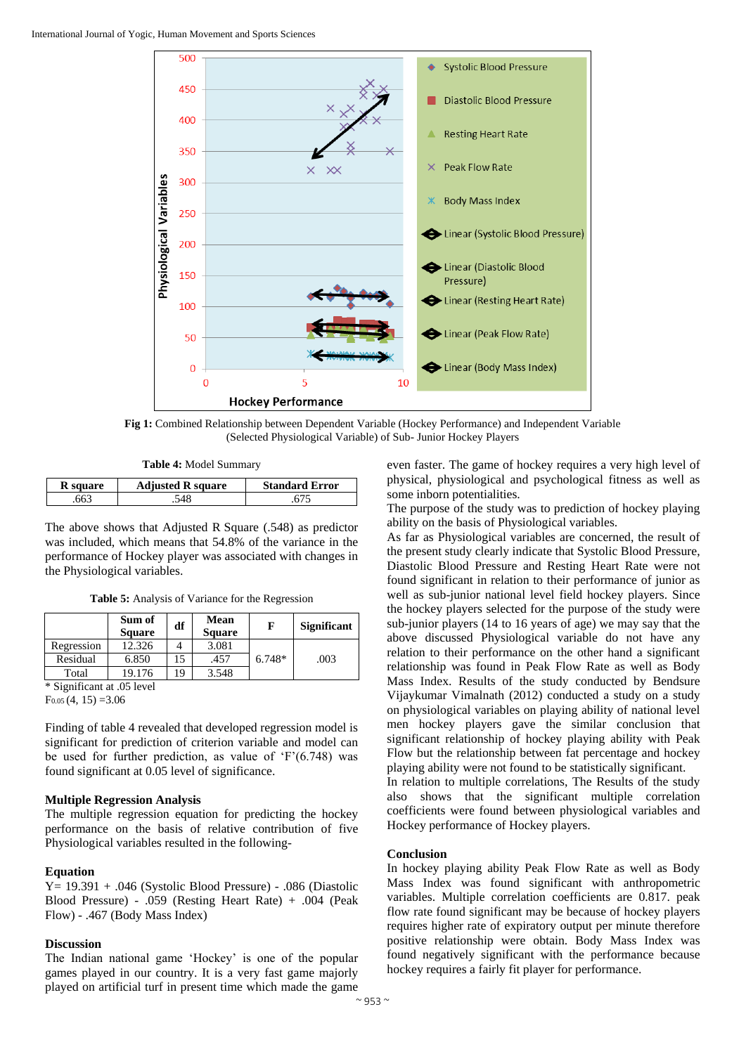

**Fig 1:** Combined Relationship between Dependent Variable (Hockey Performance) and Independent Variable (Selected Physiological Variable) of Sub- Junior Hockey Players

**Table 4:** Model Summary

| <b>R</b> square | <b>Adjusted R square</b> | <b>Standard Error</b> |
|-----------------|--------------------------|-----------------------|
|                 |                          |                       |

The above shows that Adjusted R Square (.548) as predictor was included, which means that 54.8% of the variance in the performance of Hockey player was associated with changes in the Physiological variables.

**Table 5:** Analysis of Variance for the Regression

|                    | Sum of<br><b>Square</b> | df | Mean<br><b>Square</b> | F        | <b>Significant</b> |
|--------------------|-------------------------|----|-----------------------|----------|--------------------|
| Regression         | 12.326                  |    | 3.081                 |          |                    |
| Residual           | 6.850                   | 15 | 457.                  | $6.748*$ | .003               |
| Total              | 19.176                  | 19 | 3.548                 |          |                    |
| $\sim$ $\sim$<br>. | - - -                   |    |                       |          |                    |

\* Significant at .05 level

 $F<sub>0.05</sub>(4, 15) = 3.06$ 

Finding of table 4 revealed that developed regression model is significant for prediction of criterion variable and model can be used for further prediction, as value of 'F'(6.748) was found significant at 0.05 level of significance.

### **Multiple Regression Analysis**

The multiple regression equation for predicting the hockey performance on the basis of relative contribution of five Physiological variables resulted in the following-

### **Equation**

 $Y = 19.391 + .046$  (Systolic Blood Pressure) - .086 (Diastolic Blood Pressure) - .059 (Resting Heart Rate) + .004 (Peak Flow) - .467 (Body Mass Index)

#### **Discussion**

The Indian national game 'Hockey' is one of the popular games played in our country. It is a very fast game majorly played on artificial turf in present time which made the game

even faster. The game of hockey requires a very high level of physical, physiological and psychological fitness as well as some inborn potentialities.

The purpose of the study was to prediction of hockey playing ability on the basis of Physiological variables.

As far as Physiological variables are concerned, the result of the present study clearly indicate that Systolic Blood Pressure, Diastolic Blood Pressure and Resting Heart Rate were not found significant in relation to their performance of junior as well as sub-junior national level field hockey players. Since the hockey players selected for the purpose of the study were sub-junior players (14 to 16 years of age) we may say that the above discussed Physiological variable do not have any relation to their performance on the other hand a significant relationship was found in Peak Flow Rate as well as Body Mass Index. Results of the study conducted by Bendsure Vijaykumar Vimalnath (2012) conducted a study on a study on physiological variables on playing ability of national level men hockey players gave the similar conclusion that significant relationship of hockey playing ability with Peak Flow but the relationship between fat percentage and hockey playing ability were not found to be statistically significant.

In relation to multiple correlations, The Results of the study also shows that the significant multiple correlation coefficients were found between physiological variables and Hockey performance of Hockey players.

### **Conclusion**

In hockey playing ability Peak Flow Rate as well as Body Mass Index was found significant with anthropometric variables. Multiple correlation coefficients are 0.817. peak flow rate found significant may be because of hockey players requires higher rate of expiratory output per minute therefore positive relationship were obtain. Body Mass Index was found negatively significant with the performance because hockey requires a fairly fit player for performance.